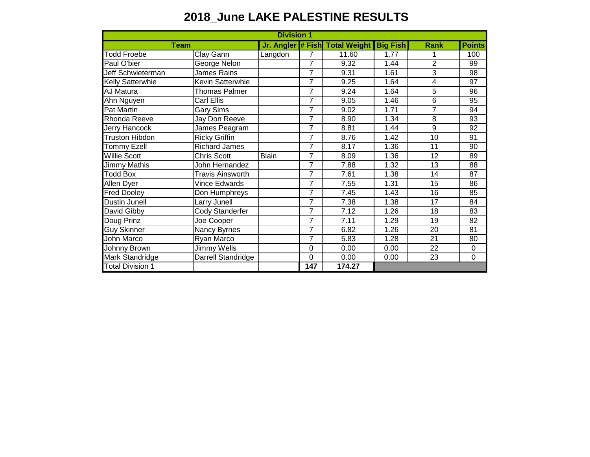## **2018\_June LAKE PALESTINE RESULTS**

| <b>Division 1</b>       |                         |              |                |                                         |      |                |               |
|-------------------------|-------------------------|--------------|----------------|-----------------------------------------|------|----------------|---------------|
| <b>Team</b>             |                         |              |                | Jr. Angler # Fish Total Weight Big Fish |      | <b>Rank</b>    | <b>Points</b> |
| <b>Todd Froebe</b>      | Clay Gann               | Langdon      | 7              | 11.60                                   | 1.77 |                | 100           |
| Paul O'bier             | George Nelon            |              | $\overline{7}$ | 9.32                                    | 1.44 | $\overline{2}$ | 99            |
| Jeff Schwieterman       | James Rains             |              | 7              | 9.31                                    | 1.61 | 3              | 98            |
| <b>Kelly Satterwhie</b> | <b>Kevin Satterwhie</b> |              | 7              | 9.25                                    | 1.64 | 4              | 97            |
| AJ Matura               | <b>Thomas Palmer</b>    |              | $\overline{7}$ | 9.24                                    | 1.64 | 5              | 96            |
| Ahn Nguyen              | <b>Carl Ellis</b>       |              | 7              | 9.05                                    | 1.46 | 6              | 95            |
| Pat Martin              | Gary Sims               |              | 7              | 9.02                                    | 1.71 | 7              | 94            |
| Rhonda Reeve            | Jay Don Reeve           |              | 7              | 8.90                                    | 1.34 | 8              | 93            |
| Jerry Hancock           | James Peagram           |              | $\overline{7}$ | 8.81                                    | 1.44 | 9              | 92            |
| <b>Truston Hibdon</b>   | <b>Ricky Griffin</b>    |              | $\overline{7}$ | 8.76                                    | 1.42 | 10             | 91            |
| <b>Tommy Ezell</b>      | <b>Richard James</b>    |              | $\overline{7}$ | 8.17                                    | 1.36 | 11             | 90            |
| <b>Willie Scott</b>     | <b>Chris Scott</b>      | <b>Blain</b> | $\overline{7}$ | 8.09                                    | 1.36 | 12             | 89            |
| Jimmy Mathis            | John Hernandez          |              | 7              | 7.88                                    | 1.32 | 13             | 88            |
| <b>Todd Box</b>         | <b>Travis Ainsworth</b> |              | $\overline{7}$ | 7.61                                    | 1.38 | 14             | 87            |
| Allen Dyer              | <b>Vince Edwards</b>    |              | $\overline{7}$ | 7.55                                    | 1.31 | 15             | 86            |
| <b>Fred Dooley</b>      | Don Humphreys           |              | 7              | 7.45                                    | 1.43 | 16             | 85            |
| Dustin Junell           | Larry Junell            |              | $\overline{7}$ | 7.38                                    | 1.38 | 17             | 84            |
| David Gibby             | Cody Standerfer         |              | 7              | 7.12                                    | 1.26 | 18             | 83            |
| Doug Prinz              | Joe Cooper              |              | 7              | 7.11                                    | 1.29 | 19             | 82            |
| Guy Skinner             | Nancy Byrnes            |              | $\overline{7}$ | 6.82                                    | 1.26 | 20             | 81            |
| John Marco              | Ryan Marco              |              | $\overline{7}$ | 5.83                                    | 1.28 | 21             | 80            |
| Johnny Brown            | Jimmy Wells             |              | 0              | 0.00                                    | 0.00 | 22             | 0             |
| <b>Mark Standridge</b>  | Darrell Standridge      |              | 0              | 0.00                                    | 0.00 | 23             | $\mathbf 0$   |
| <b>Total Division 1</b> |                         |              | 147            | 174.27                                  |      |                |               |